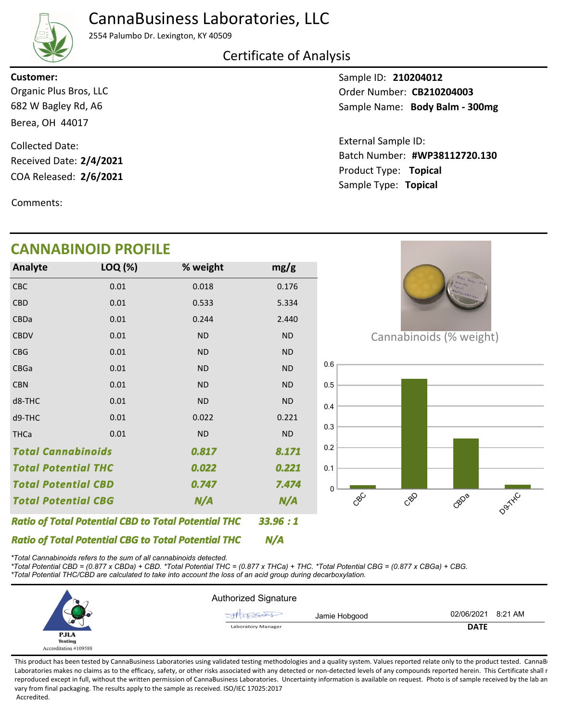## CannaBusiness Laboratories, LLC



2554 Palumbo Dr. Lexington, KY 40509

### Certificate of Analysis

**Customer:**

682 W Bagley Rd, A6 Berea, OH 44017 Organic Plus Bros, LLC

COA Released: 2/6/2021 Collected Date: Received Date: **2/4/2021**

Comments:

### Sample ID: **210204012** Sample Name: Body Balm - 300mg Order Number: CB210204003

Product Type: **Topical 2/6/2021 #WP38112720.130** Batch Number: External Sample ID: Sample Type: **Topical**

|                                                            | <b>CANNABINOID PROFILE</b> |                                                            |           |     |                         |
|------------------------------------------------------------|----------------------------|------------------------------------------------------------|-----------|-----|-------------------------|
| Analyte                                                    | LOQ (%)                    | % weight                                                   | mg/g      |     |                         |
| <b>CBC</b>                                                 | 0.01                       | 0.018                                                      | 0.176     |     |                         |
| <b>CBD</b>                                                 | 0.01                       | 0.533                                                      | 5.334     |     |                         |
| CBDa                                                       | 0.01                       | 0.244                                                      | 2.440     |     |                         |
| <b>CBDV</b>                                                | 0.01                       | <b>ND</b>                                                  | $\sf ND$  |     | Cannabinoids (% weight) |
| <b>CBG</b>                                                 | 0.01                       | <b>ND</b>                                                  | <b>ND</b> |     |                         |
| CBGa                                                       | 0.01                       | <b>ND</b>                                                  | ND        | 0.6 |                         |
| <b>CBN</b>                                                 | 0.01                       | <b>ND</b>                                                  | ND        | 0.5 |                         |
| d8-THC                                                     | 0.01                       | <b>ND</b>                                                  | $\sf ND$  | 0.4 |                         |
| d9-THC                                                     | 0.01                       | 0.022                                                      | 0.221     |     |                         |
| <b>THCa</b>                                                | 0.01                       | <b>ND</b>                                                  | <b>ND</b> | 0.3 |                         |
| <b>Total Cannabinoids</b>                                  |                            | 0.817                                                      | 8.171     | 0.2 |                         |
| <b>Total Potential THC</b>                                 |                            | 0.022                                                      | 0.221     | 0.1 |                         |
| <b>Total Potential CBD</b>                                 |                            | 0.747                                                      | 7.474     | 0   |                         |
| <b>Total Potential CBG</b>                                 |                            | N/A                                                        | N/A       |     | CBC                     |
|                                                            |                            | <b>Ratio of Total Potential CBD to Total Potential THC</b> | 33.96:1   |     |                         |
| <b>Ratio of Total Potential CBG to Total Potential THC</b> |                            |                                                            | N/A       |     |                         |

*\*Total Cannabinoids refers to the sum of all cannabinoids detected.*

*\*Total Potential CBD = (0.877 x CBDa) + CBD. \*Total Potential THC = (0.877 x THCa) + THC. \*Total Potential CBG = (0.877 x CBGa) + CBG. \*Total Potential THC/CBD are calculated to take into account the loss of an acid group during decarboxylation.*



This product has been tested by CannaBusiness Laboratories using validated testing methodologies and a quality system. Values reported relate only to the product tested. CannaB Laboratories makes no claims as to the efficacy, safety, or other risks associated with any detected or non-detected levels of any compounds reported herein. This Certificate shall r reproduced except in full, without the written permission of CannaBusiness Laboratories. Uncertainty information is available on request. Photo is of sample received by the lab an vary from final packaging. The results apply to the sample as received. ISO/IEC 17025:2017 Accredited.